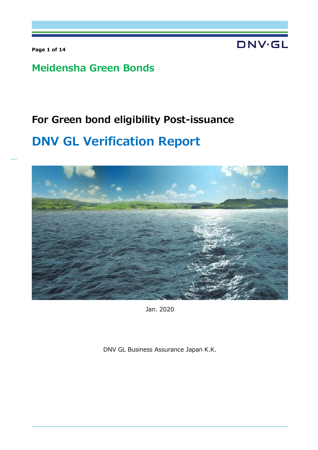**Page 1 of 14** 

**DNV·GL** 

## **Meidensha Green Bonds**

## **For Green bond eligibility Post-issuance**

# **DNV GL Verification Report**



Jan. 2020

DNV GL Business Assurance Japan K.K.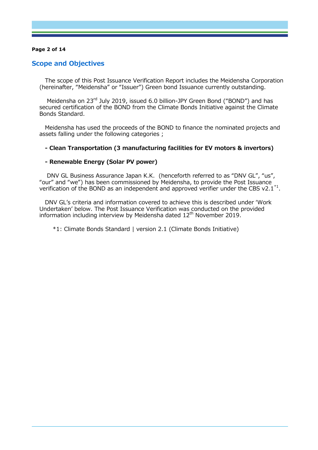#### **Page 2 of 14**

## **Scope and Objectives**

The scope of this Post Issuance Verification Report includes the Meidensha Corporation (hereinafter, "Meidensha" or "Issuer") Green bond Issuance currently outstanding.

Meidensha on 23<sup>rd</sup> July 2019, issued 6.0 billion-JPY Green Bond ("BOND") and has secured certification of the BOND from the Climate Bonds Initiative against the Climate Bonds Standard.

Meidensha has used the proceeds of the BOND to finance the nominated projects and assets falling under the following categories ;

#### **- Clean Transportation (3 manufacturing facilities for EV motors & invertors)**

#### **- Renewable Energy (Solar PV power)**

 DNV GL Business Assurance Japan K.K. (henceforth referred to as "DNV GL", "us", "our" and "we") has been commissioned by Meidensha, to provide the Post Issuance verification of the BOND as an independent and approved verifier under the CBS v2.1<sup>\*1</sup>.

DNV GL's criteria and information covered to achieve this is described under 'Work Undertaken' below. The Post Issuance Verification was conducted on the provided information including interview by Meidensha dated 12<sup>th</sup> November 2019.

\*1: Climate Bonds Standard | version 2.1 (Climate Bonds Initiative)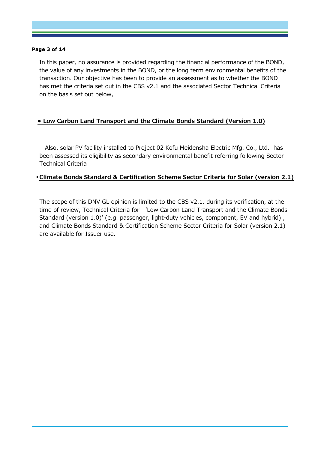#### **Page 3 of 14**

In this paper, no assurance is provided regarding the financial performance of the BOND, the value of any investments in the BOND, or the long term environmental benefits of the transaction. Our objective has been to provide an assessment as to whether the BOND has met the criteria set out in the CBS v2.1 and the associated Sector Technical Criteria on the basis set out below,

## **• Low Carbon Land Transport and the Climate Bonds Standard (Version 1.0)**

Also, solar PV facility installed to Project 02 Kofu Meidensha Electric Mfg. Co., Ltd. has been assessed its eligibility as secondary environmental benefit referring following Sector Technical Criteria

## • **Climate Bonds Standard & Certification Scheme Sector Criteria for Solar (version 2.1)**

The scope of this DNV GL opinion is limited to the CBS v2.1. during its verification, at the time of review, Technical Criteria for - 'Low Carbon Land Transport and the Climate Bonds Standard (version 1.0)' (e.g. passenger, light-duty vehicles, component, EV and hybrid) , and Climate Bonds Standard & Certification Scheme Sector Criteria for Solar (version 2.1) are available for Issuer use.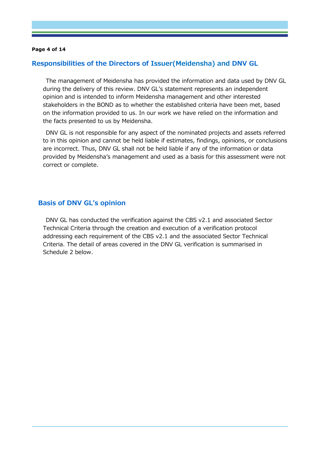#### **Page 4 of 14**

## **Responsibilities of the Directors of Issuer(Meidensha) and DNV GL**

The management of Meidensha has provided the information and data used by DNV GL during the delivery of this review. DNV GL's statement represents an independent opinion and is intended to inform Meidensha management and other interested stakeholders in the BOND as to whether the established criteria have been met, based on the information provided to us. In our work we have relied on the information and the facts presented to us by Meidensha.

DNV GL is not responsible for any aspect of the nominated projects and assets referred to in this opinion and cannot be held liable if estimates, findings, opinions, or conclusions are incorrect. Thus, DNV GL shall not be held liable if any of the information or data provided by Meidensha's management and used as a basis for this assessment were not correct or complete.

### **Basis of DNV GL's opinion**

DNV GL has conducted the verification against the CBS v2.1 and associated Sector Technical Criteria through the creation and execution of a verification protocol addressing each requirement of the CBS v2.1 and the associated Sector Technical Criteria. The detail of areas covered in the DNV GL verification is summarised in Schedule 2 below.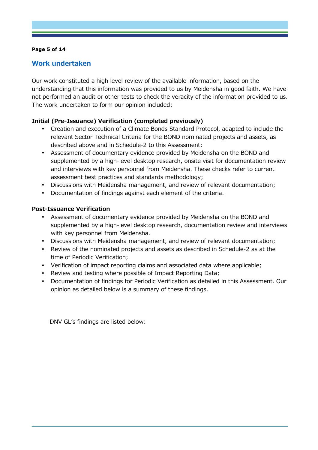### **Page 5 of 14**

## **Work undertaken**

Our work constituted a high level review of the available information, based on the understanding that this information was provided to us by Meidensha in good faith. We have not performed an audit or other tests to check the veracity of the information provided to us. The work undertaken to form our opinion included:

## **Initial (Pre-Issuance) Verification (completed previously)**

- Creation and execution of a Climate Bonds Standard Protocol, adapted to include the relevant Sector Technical Criteria for the BOND nominated projects and assets, as described above and in Schedule-2 to this Assessment;
- Assessment of documentary evidence provided by Meidensha on the BOND and supplemented by a high-level desktop research, onsite visit for documentation review and interviews with key personnel from Meidensha. These checks refer to current assessment best practices and standards methodology;
- Discussions with Meidensha management, and review of relevant documentation;
- Documentation of findings against each element of the criteria.

## **Post-Issuance Verification**

- Assessment of documentary evidence provided by Meidensha on the BOND and supplemented by a high-level desktop research, documentation review and interviews with key personnel from Meidensha.
- Discussions with Meidensha management, and review of relevant documentation;
- Review of the nominated projects and assets as described in Schedule-2 as at the time of Periodic Verification;
- Verification of impact reporting claims and associated data where applicable;
- Review and testing where possible of Impact Reporting Data;
- Documentation of findings for Periodic Verification as detailed in this Assessment. Our opinion as detailed below is a summary of these findings.

DNV GL's findings are listed below: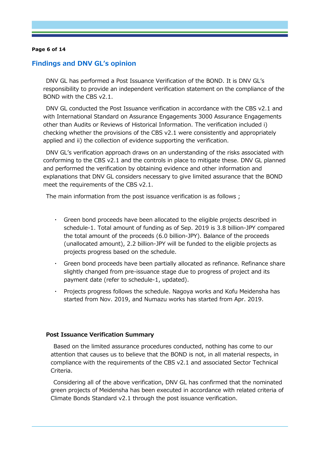#### **Page 6 of 14**

### **Findings and DNV GL's opinion**

DNV GL has performed a Post Issuance Verification of the BOND. It is DNV GL's responsibility to provide an independent verification statement on the compliance of the BOND with the CBS v2.1.

DNV GL conducted the Post Issuance verification in accordance with the CBS v2.1 and with International Standard on Assurance Engagements 3000 Assurance Engagements other than Audits or Reviews of Historical Information. The verification included i) checking whether the provisions of the CBS v2.1 were consistently and appropriately applied and ii) the collection of evidence supporting the verification.

DNV GL's verification approach draws on an understanding of the risks associated with conforming to the CBS v2.1 and the controls in place to mitigate these. DNV GL planned and performed the verification by obtaining evidence and other information and explanations that DNV GL considers necessary to give limited assurance that the BOND meet the requirements of the CBS v2.1.

The main information from the post issuance verification is as follows ;

- ・ Green bond proceeds have been allocated to the eligible projects described in schedule-1. Total amount of funding as of Sep. 2019 is 3.8 billion-JPY compared the total amount of the proceeds (6.0 billion-JPY). Balance of the proceeds (unallocated amount), 2.2 billion-JPY will be funded to the eligible projects as projects progress based on the schedule.
- ・ Green bond proceeds have been partially allocated as refinance. Refinance share slightly changed from pre-issuance stage due to progress of project and its payment date (refer to schedule-1, updated).
- ・ Projects progress follows the schedule. Nagoya works and Kofu Meidensha has started from Nov. 2019, and Numazu works has started from Apr. 2019.

#### **Post Issuance Verification Summary**

Based on the limited assurance procedures conducted, nothing has come to our attention that causes us to believe that the BOND is not, in all material respects, in compliance with the requirements of the CBS v2.1 and associated Sector Technical Criteria.

Considering all of the above verification, DNV GL has confirmed that the nominated green projects of Meidensha has been executed in accordance with related criteria of Climate Bonds Standard v2.1 through the post issuance verification.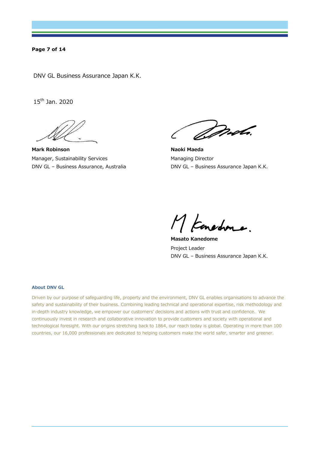#### **Page 7 of 14**

DNV GL Business Assurance Japan K.K.

 $15^{th}$  Jan. 2020

**Mark Robinson** Manager, Sustainability Services DNV GL – Business Assurance, Australia

*Drob*.

**Naoki Maeda**  Managing Director DNV GL – Business Assurance Japan K.K.

M Konedone.

**Masato Kanedome** Project Leader DNV GL – Business Assurance Japan K.K.

#### **About DNV GL**

Driven by our purpose of safeguarding life, property and the environment, DNV GL enables organisations to advance the safety and sustainability of their business. Combining leading technical and operational expertise, risk methodology and in-depth industry knowledge, we empower our customers' decisions and actions with trust and confidence. We continuously invest in research and collaborative innovation to provide customers and society with operational and technological foresight. With our origins stretching back to 1864, our reach today is global. Operating in more than 100 countries, our 16,000 professionals are dedicated to helping customers make the world safer, smarter and greener.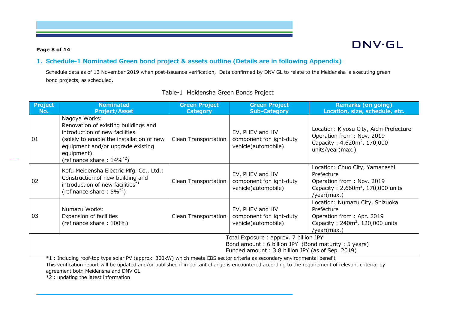#### **Page 8 of 14**

## DNV.GL

## **1. Schedule-1 Nominated Green bond project & assets outline (Details are in following Appendix)**

Schedule data as of 12 November 2019 when post-issuance verification, Data confirmed by DNV GL to relate to the Meidensha is executing green bond projects, as scheduled.

| <b>Project</b><br>No. | <b>Nominated</b><br><b>Project/Asset</b>                                                                                                                                                                                  | <b>Green Project</b><br><b>Category</b> | <b>Green Project</b><br><b>Sub-Category</b>                        | <b>Remarks (on going)</b><br>Location, size, schedule, etc.                                                                         |  |
|-----------------------|---------------------------------------------------------------------------------------------------------------------------------------------------------------------------------------------------------------------------|-----------------------------------------|--------------------------------------------------------------------|-------------------------------------------------------------------------------------------------------------------------------------|--|
| 01                    | Nagoya Works:<br>Renovation of existing buildings and<br>introduction of new facilities<br>(solely to enable the installation of new<br>equipment and/or upgrade existing<br>equipment)<br>(refinance share: $14\%^{2}$ ) | Clean Transportation                    | EV, PHEV and HV<br>component for light-duty<br>vehicle(automobile) | Location: Kiyosu City, Aichi Prefecture<br>Operation from: Nov. 2019<br>Capacity: 4,620m <sup>2</sup> , 170,000<br>units/year(max.) |  |
| 02                    | Kofu Meidensha Electric Mfg. Co., Ltd.:<br>Construction of new building and<br>introduction of new facilities <sup>*1</sup><br>(refinance share: $5\%^{2}$ )                                                              | Clean Transportation                    | EV, PHEV and HV<br>component for light-duty<br>vehicle(automobile) | Location: Chuo City, Yamanashi<br>Prefecture<br>Operation from: Nov. 2019<br>Capacity: $2,660m^2$ , 170,000 units<br>/year(max.)    |  |
| 03                    | Numazu Works:<br>Expansion of facilities<br>(refinance share: 100%)                                                                                                                                                       | Clean Transportation                    | EV, PHEV and HV<br>component for light-duty<br>vehicle(automobile) | Location: Numazu City, Shizuoka<br>Prefecture<br>Operation from: Apr. 2019<br>Capacity: $240m^2$ , 120,000 units<br>/year(max.)     |  |
|                       | Total Exposure: approx. 7 billion JPY<br>Bond amount: 6 billion JPY (Bond maturity: 5 years)<br>Funded amount: 3.8 billion JPY (as of Sep. 2019)                                                                          |                                         |                                                                    |                                                                                                                                     |  |

## Table-1 Meidensha Green Bonds Project

\*1 : Including roof-top type solar PV (approx. 300kW) which meets CBS sector criteria as secondary environmental benefit This verification report will be updated and/or published if important change is encountered according to the requirement of relevant criteria, by agreement both Meidensha and DNV GL

\*2 : updating the latest information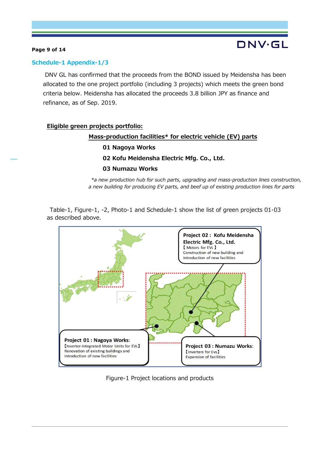## **Page 9 of 14**

## DNV·GL

## **Schedule-1 Appendix-1/3**

 DNV GL has confirmed that the proceeds from the BOND issued by Meidensha has been allocated to the one project portfolio (including 3 projects) which meets the green bond criteria below. Meidensha has allocated the proceeds 3.8 billion JPY as finance and refinance, as of Sep. 2019.

## **Eligible green projects portfolio:**

### **Mass-production facilities\* for electric vehicle (EV) parts**

- **01 Nagoya Works**
- **02 Kofu Meidensha Electric Mfg. Co., Ltd.**

### **03 Numazu Works**

*\*a new production hub for such parts, upgrading and mass-production lines construction, a new building for producing EV parts, and beef up of existing production lines for parts* 

Table-1, Figure-1, -2, Photo-1 and Schedule-1 show the list of green projects 01-03 as described above.



Figure-1 Project locations and products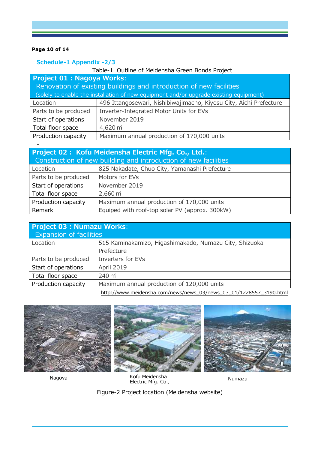## **Page 10 of 14**

-

## **Schedule-1 Appendix -2/3**

| Table-1 Outline of Meidensha Green Bonds Project                                       |                                                                    |  |  |
|----------------------------------------------------------------------------------------|--------------------------------------------------------------------|--|--|
| <b>Project 01 : Nagoya Works:</b>                                                      |                                                                    |  |  |
| Renovation of existing buildings and introduction of new facilities                    |                                                                    |  |  |
| (solely to enable the installation of new equipment and/or upgrade existing equipment) |                                                                    |  |  |
| Location                                                                               | 496 Ittangosewari, Nishibiwajimacho, Kiyosu City, Aichi Prefecture |  |  |
| Parts to be produced                                                                   | Inverter-Integrated Motor Units for EVs                            |  |  |
| Start of operations                                                                    | November 2019                                                      |  |  |
| Total floor space                                                                      | $4,620 \text{ m}^2$                                                |  |  |
| Production capacity                                                                    | Maximum annual production of 170,000 units                         |  |  |

| Project 02: Kofu Meidensha Electric Mfg. Co., Ltd.:             |                                                |  |
|-----------------------------------------------------------------|------------------------------------------------|--|
| Construction of new building and introduction of new facilities |                                                |  |
| Location                                                        | 825 Nakadate, Chuo City, Yamanashi Prefecture  |  |
| Parts to be produced                                            | Motors for EVs                                 |  |
| Start of operations                                             | November 2019                                  |  |
| Total floor space                                               | $2,660 \text{ m}^2$                            |  |
| Production capacity                                             | Maximum annual production of 170,000 units     |  |
| Remark                                                          | Equiped with roof-top solar PV (approx. 300kW) |  |

| <b>Project 03 : Numazu Works:</b> |                                                                                                                                                                                                                                   |  |
|-----------------------------------|-----------------------------------------------------------------------------------------------------------------------------------------------------------------------------------------------------------------------------------|--|
| <b>Expansion of facilities</b>    |                                                                                                                                                                                                                                   |  |
| Location                          | 515 Kaminakamizo, Higashimakado, Numazu City, Shizuoka                                                                                                                                                                            |  |
|                                   | Prefecture                                                                                                                                                                                                                        |  |
| Parts to be produced              | Inverters for EVs                                                                                                                                                                                                                 |  |
| Start of operations               | April 2019                                                                                                                                                                                                                        |  |
| Total floor space                 | $240 \text{ m}^2$                                                                                                                                                                                                                 |  |
| Production capacity               | Maximum annual production of 120,000 units                                                                                                                                                                                        |  |
|                                   | $\mathbf{r}$ . The contract of the contract of the contract of the contract of the contract of the contract of the contract of the contract of the contract of the contract of the contract of the contract of the contract of th |  |

http://www.meidensha.com/news/news\_03/news\_03\_01/1228557\_3190.html



Nagoya

Numazu Kofu Meidensha Electric Mfg. Co.,

Figure-2 Project location (Meidensha website) Ltd.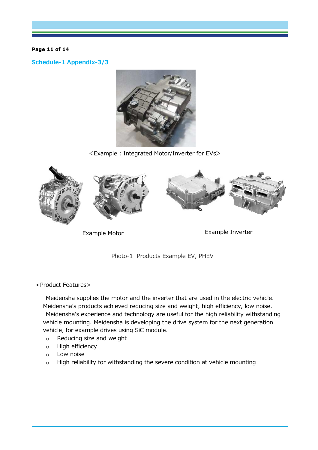#### **Page 11 of 14**

**Schedule-1 Appendix-3/3**



<Example : Integrated Motor/Inverter for EVs>





Photo-1 Products Example EV, PHEV

<Product Features>

Meidensha supplies the motor and the inverter that are used in the electric vehicle. Meidensha's products achieved reducing size and weight, high efficiency, low noise. Meidensha's experience and technology are useful for the high reliability withstanding vehicle mounting. Meidensha is developing the drive system for the next generation vehicle, for example drives using SiC module.

- o Reducing size and weight
- o High efficiency
- o Low noise
- o High reliability for withstanding the severe condition at vehicle mounting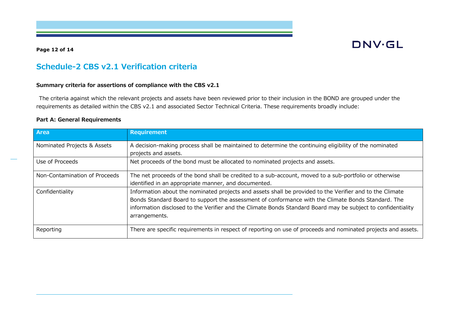## **Page 12 of 14**

## **DNV·GL**

## **Schedule-2 CBS v2.1 Verification criteria**

#### **Summary criteria for assertions of compliance with the CBS v2.1**

The criteria against which the relevant projects and assets have been reviewed prior to their inclusion in the BOND are grouped under the requirements as detailed within the CBS v2.1 and associated Sector Technical Criteria. These requirements broadly include:

#### **Part A: General Requirements**

| <b>Area</b>                   | <b>Requirement</b>                                                                                                                                                                                                                                                                                                                              |
|-------------------------------|-------------------------------------------------------------------------------------------------------------------------------------------------------------------------------------------------------------------------------------------------------------------------------------------------------------------------------------------------|
| Nominated Projects & Assets   | A decision-making process shall be maintained to determine the continuing eligibility of the nominated<br>projects and assets.                                                                                                                                                                                                                  |
| Use of Proceeds               | Net proceeds of the bond must be allocated to nominated projects and assets.                                                                                                                                                                                                                                                                    |
| Non-Contamination of Proceeds | The net proceeds of the bond shall be credited to a sub-account, moved to a sub-portfolio or otherwise<br>identified in an appropriate manner, and documented.                                                                                                                                                                                  |
| Confidentiality               | Information about the nominated projects and assets shall be provided to the Verifier and to the Climate<br>Bonds Standard Board to support the assessment of conformance with the Climate Bonds Standard. The<br>information disclosed to the Verifier and the Climate Bonds Standard Board may be subject to confidentiality<br>arrangements. |
| Reporting                     | There are specific requirements in respect of reporting on use of proceeds and nominated projects and assets.                                                                                                                                                                                                                                   |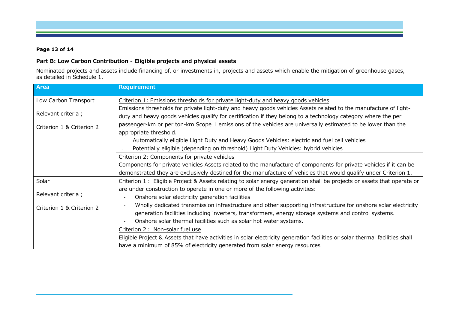#### **Page 13 of 14**

## **Part B: Low Carbon Contribution - Eligible projects and physical assets**

Nominated projects and assets include financing of, or investments in, projects and assets which enable the mitigation of greenhouse gases, as detailed in Schedule 1.

| <b>Area</b>               | <b>Requirement</b>                                                                                                                         |
|---------------------------|--------------------------------------------------------------------------------------------------------------------------------------------|
| Low Carbon Transport      | Criterion 1: Emissions thresholds for private light-duty and heavy goods vehicles                                                          |
|                           | Emissions thresholds for private light-duty and heavy goods vehicles Assets related to the manufacture of light-                           |
| Relevant criteria;        | duty and heavy goods vehicles qualify for certification if they belong to a technology category where the per                              |
| Criterion 1 & Criterion 2 | passenger-km or per ton-km Scope 1 emissions of the vehicles are universally estimated to be lower than the                                |
|                           | appropriate threshold.                                                                                                                     |
|                           | Automatically eligible Light Duty and Heavy Goods Vehicles: electric and fuel cell vehicles                                                |
|                           | Potentially eligible (depending on threshold) Light Duty Vehicles: hybrid vehicles                                                         |
|                           | Criterion 2: Components for private vehicles                                                                                               |
|                           | Components for private vehicles Assets related to the manufacture of components for private vehicles if it can be                          |
|                           | demonstrated they are exclusively destined for the manufacture of vehicles that would qualify under Criterion 1.                           |
| Solar                     | Criterion 1: Eligible Project & Assets relating to solar energy generation shall be projects or assets that operate or                     |
|                           | are under construction to operate in one or more of the following activities:                                                              |
| Relevant criteria;        | Onshore solar electricity generation facilities<br>$\blacksquare$                                                                          |
| Criterion 1 & Criterion 2 | Wholly dedicated transmission infrastructure and other supporting infrastructure for onshore solar electricity<br>$\overline{\phantom{a}}$ |
|                           | generation facilities including inverters, transformers, energy storage systems and control systems.                                       |
|                           | Onshore solar thermal facilities such as solar hot water systems.                                                                          |
|                           | Criterion 2 : Non-solar fuel use                                                                                                           |
|                           | Eligible Project & Assets that have activities in solar electricity generation facilities or solar thermal facilities shall                |
|                           | have a minimum of 85% of electricity generated from solar energy resources                                                                 |